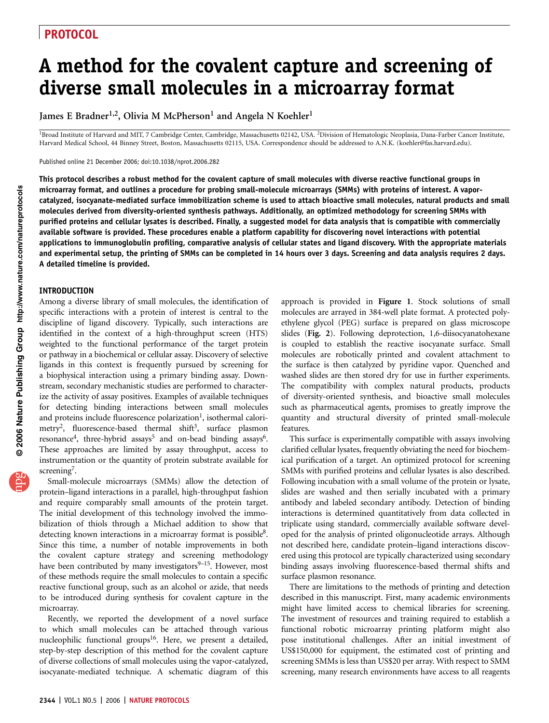# A method for the covalent capture and screening of diverse small molecules in a microarray format

James E Bradner<sup>1,2</sup>, Olivia M McPherson<sup>1</sup> and Angela N Koehler<sup>1</sup>

<sup>1</sup>Broad Institute of Harvard and MIT, 7 Cambridge Center, Cambridge, Massachusetts 02142, USA. <sup>2</sup>Division of Hematologic Neoplasia, Dana-Farber Cancer Institute, Harvard Medical School, 44 Binney Street, Boston, Massachusetts 02115, USA. Correspondence should be addressed to A.N.K. (koehler@fas.harvard.edu).

Published online 21 December 2006; doi:10.1038/nprot.2006.282

This protocol describes a robust method for the covalent capture of small molecules with diverse reactive functional groups in microarray format, and outlines a procedure for probing small-molecule microarrays (SMMs) with proteins of interest. A vaporcatalyzed, isocyanate-mediated surface immobilization scheme is used to attach bioactive small molecules, natural products and small molecules derived from diversity-oriented synthesis pathways. Additionally, an optimized methodology for screening SMMs with purified proteins and cellular lysates is described. Finally, a suggested model for data analysis that is compatible with commercially available software is provided. These procedures enable a platform capability for discovering novel interactions with potential applications to immunoglobulin profiling, comparative analysis of cellular states and ligand discovery. With the appropriate materials and experimental setup, the printing of SMMs can be completed in 14 hours over 3 days. Screening and data analysis requires 2 days. A detailed timeline is provided.

#### INTRODUCTION

Among a diverse library of small molecules, the identification of specific interactions with a protein of interest is central to the discipline of ligand discovery. Typically, such interactions are identified in the context of a high-throughput screen (HTS) weighted to the functional performance of the target protein or pathway in a biochemical or cellular assay. Discovery of selective ligands in this context is frequently pursued by screening for a biophysical interaction using a primary binding assay. Downstream, secondary mechanistic studies are performed to characterize the activity of assay positives. Examples of available techniques for detecting binding interactions between small molecules and proteins include fluorescence polarization<sup>1</sup>, isothermal calorimetry<sup>2</sup>, fluorescence-based thermal shift<sup>3</sup>, surface plasmon resonance<sup>4</sup>, three-hybrid assays<sup>5</sup> and on-bead binding assays<sup>6</sup>. These approaches are limited by assay throughput, access to instrumentation or the quantity of protein substrate available for screening<sup>7</sup>.

Small-molecule microarrays (SMMs) allow the detection of protein–ligand interactions in a parallel, high-throughput fashion and require comparably small amounts of the protein target. The initial development of this technology involved the immobilization of thiols through a Michael addition to show that detecting known interactions in a microarray format is possible $8$ . Since this time, a number of notable improvements in both the covalent capture strategy and screening methodology have been contributed by many investigators $9-15$ . However, most of these methods require the small molecules to contain a specific reactive functional group, such as an alcohol or azide, that needs to be introduced during synthesis for covalent capture in the microarray.

Recently, we reported the development of a novel surface to which small molecules can be attached through various nucleophilic functional groups<sup>16</sup>. Here, we present a detailed, step-by-step description of this method for the covalent capture of diverse collections of small molecules using the vapor-catalyzed, isocyanate-mediated technique. A schematic diagram of this approach is provided in Figure 1. Stock solutions of small molecules are arrayed in 384-well plate format. A protected polyethylene glycol (PEG) surface is prepared on glass microscope slides (Fig. 2). Following deprotection, 1,6-diisocyanatohexane is coupled to establish the reactive isocyanate surface. Small molecules are robotically printed and covalent attachment to the surface is then catalyzed by pyridine vapor. Quenched and washed slides are then stored dry for use in further experiments. The compatibility with complex natural products, products of diversity-oriented synthesis, and bioactive small molecules such as pharmaceutical agents, promises to greatly improve the quantity and structural diversity of printed small-molecule features.

This surface is experimentally compatible with assays involving clarified cellular lysates, frequently obviating the need for biochemical purification of a target. An optimized protocol for screening SMMs with purified proteins and cellular lysates is also described. Following incubation with a small volume of the protein or lysate, slides are washed and then serially incubated with a primary antibody and labeled secondary antibody. Detection of binding interactions is determined quantitatively from data collected in triplicate using standard, commercially available software developed for the analysis of printed oligonucleotide arrays. Although not described here, candidate protein–ligand interactions discovered using this protocol are typically characterized using secondary binding assays involving fluorescence-based thermal shifts and surface plasmon resonance.

There are limitations to the methods of printing and detection described in this manuscript. First, many academic environments might have limited access to chemical libraries for screening. The investment of resources and training required to establish a functional robotic microarray printing platform might also pose institutional challenges. After an initial investment of US\$150,000 for equipment, the estimated cost of printing and screening SMMs is less than US\$20 per array. With respect to SMM screening, many research environments have access to all reagents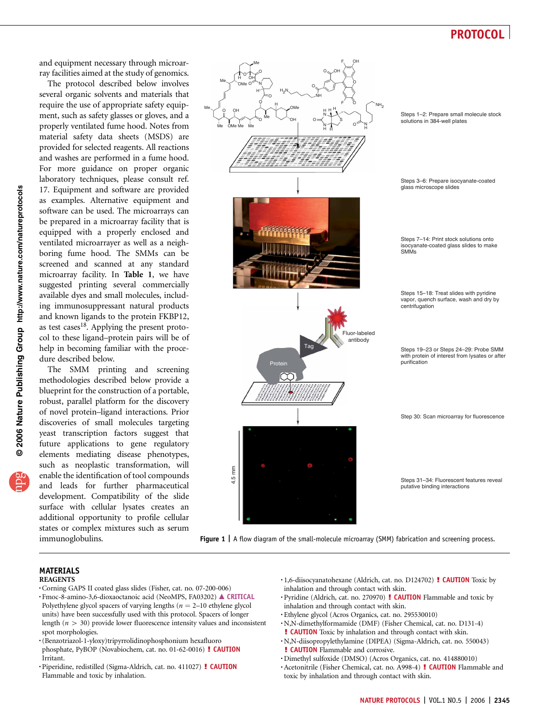

and equipment necessary through microarray facilities aimed at the study of genomics.

The protocol described below involves several organic solvents and materials that require the use of appropriate safety equipment, such as safety glasses or gloves, and a properly ventilated fume hood. Notes from material safety data sheets (MSDS) are provided for selected reagents. All reactions and washes are performed in a fume hood. For more guidance on proper organic laboratory techniques, please consult ref. 17. Equipment and software are provided as examples. Alternative equipment and software can be used. The microarrays can be prepared in a microarray facility that is equipped with a properly enclosed and ventilated microarrayer as well as a neighboring fume hood. The SMMs can be screened and scanned at any standard microarray facility. In Table 1, we have suggested printing several commercially available dyes and small molecules, including immunosuppressant natural products and known ligands to the protein FKBP12, as test cases<sup>18</sup>. Applying the present protocol to these ligand–protein pairs will be of help in becoming familiar with the procedure described below.

The SMM printing and screening methodologies described below provide a blueprint for the construction of a portable, robust, parallel platform for the discovery of novel protein–ligand interactions. Prior discoveries of small molecules targeting yeast transcription factors suggest that future applications to gene regulatory elements mediating disease phenotypes, such as neoplastic transformation, will enable the identification of tool compounds and leads for further pharmaceutical development. Compatibility of the slide surface with cellular lysates creates an additional opportunity to profile cellular states or complex mixtures such as serum immunoglobulins.

Figure 1 | A flow diagram of the small-molecule microarray (SMM) fabrication and screening process.

#### MATERIALS REAGENTS

- .Corning GAPS II coated glass slides (Fisher, cat. no. 07-200-006)
- · Fmoc-8-amino-3,6-dioxaoctanoic acid (NeoMPS, FA03202) ▲ CRITICAL Polyethylene glycol spacers of varying lengths ( $n = 2-10$  ethylene glycol units) have been successfully used with this protocol. Spacers of longer length ( $n > 30$ ) provide lower fluorescence intensity values and inconsistent spot morphologies.
- .(Benzotriazol-1-yloxy)tripyrrolidinophosphonium hexafluoro phosphate, PyBOP (Novabiochem, cat. no. 01-62-0016) ! CAUTION Irritant.
- .Piperidine, redistilled (Sigma-Aldrich, cat. no. 411027) ! CAUTION Flammable and toxic by inhalation.
- .1,6-diisocyanatohexane (Aldrich, cat. no. D124702) ! CAUTION Toxic by inhalation and through contact with skin.
- · Pyridine (Aldrich, cat. no. 270970) ! CAUTION Flammable and toxic by inhalation and through contact with skin.
- .Ethylene glycol (Acros Organics, cat. no. 295530010)
- .N,N-dimethylformamide (DMF) (Fisher Chemical, cat. no. D131-4)
- ! CAUTION Toxic by inhalation and through contact with skin. .N,N-diisopropylethylamine (DIPEA) (Sigma-Aldrich, cat. no. 550043)
- **! CAUTION** Flammable and corrosive.<br>
Dimethyl sulfoxide (DMSO) (Acros Organics, cat. no. 414880010)
- .Acetonitrile (Fisher Chemical, cat. no. A998-4) ! CAUTION Flammable and toxic by inhalation and through contact with skin.

NATURE PROTOCOLS | VOL.1 NO.5 | 2006 | 2345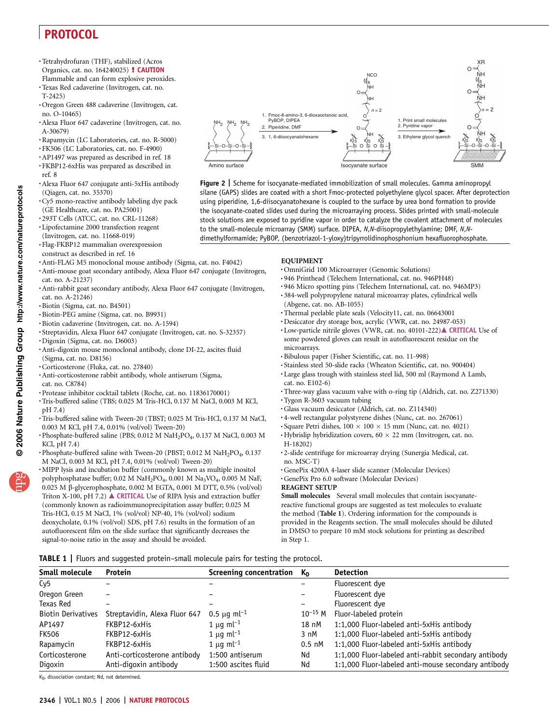- .Tetrahydrofuran (THF), stabilized (Acros Organics, cat. no. 164240025) ! CAUTION
- Flammable and can form explosive peroxides. .Texas Red cadaverine (Invitrogen, cat. no.
- T-2425)
- .Oregon Green 488 cadaverine (Invitrogen, cat. no. O-10465)
- .Alexa Fluor 647 cadaverine (Invitrogen, cat. no. A-30679)
- .Rapamycin (LC Laboratories, cat. no. R-5000)
- .FK506 (LC Laboratories, cat. no. F-4900)
- .AP1497 was prepared as described in ref. 18
- .FKBP12-6xHis was prepared as described in ref. 8
- .Alexa Fluor 647 conjugate anti-5xHis antibody (Qiagen, cat. no. 35370)
- .Cy5 mono-reactive antibody labeling dye pack (GE Healthcare, cat. no. PA25001)
- .293T Cells (ATCC, cat. no. CRL-11268)
- .Lipofectamine 2000 transfection reagent (Invitrogen, cat. no. 11668-019)
- .Flag-FKBP12 mammalian overexpression construct as described in ref. 16
- .Anti-FLAG M5 monoclonal mouse antibody (Sigma, cat. no. F4042)
- .Anti-mouse goat secondary antibody, Alexa Fluor 647 conjugate (Invitrogen, cat. no. A-21237)
- .Anti-rabbit goat secondary antibody, Alexa Fluor 647 conjugate (Invitrogen, cat. no. A-21246)
- .Biotin (Sigma, cat. no. B4501)
- .Biotin-PEG amine (Sigma, cat. no. B9931)
- .Biotin cadaverine (Invitrogen, cat. no. A-1594)
- .Streptavidin, Alexa Fluor 647 conjugate (Invitrogen, cat. no. S-32357) .Digoxin (Sigma, cat. no. D6003)
- .Anti-digoxin mouse monoclonal antibody, clone DI-22, ascites fluid (Sigma, cat. no. D8156)
- .Corticosterone (Fluka, cat. no. 27840)
- .Anti-corticosterone rabbit antibody, whole antiserum (Sigma, cat. no. C8784)
- .Protease inhibitor cocktail tablets (Roche, cat. no. 11836170001)
- .Tris-buffered saline (TBS; 0.025 M Tris-HCl, 0.137 M NaCl, 0.003 M KCl, pH 7.4)
- .Tris-buffered saline with Tween-20 (TBST; 0.025 M Tris-HCl, 0.137 M NaCl, 0.003 M KCl, pH 7.4, 0.01% (vol/vol) Tween-20)
- · Phosphate-buffered saline (PBS; 0.012 M NaH<sub>2</sub>PO<sub>4</sub>, 0.137 M NaCl, 0.003 M KCl, pH 7.4)
- $\cdot$  Phosphate-buffered saline with Tween-20 (PBST; 0.012 M NaH<sub>2</sub>PO<sub>4</sub>, 0.137 M NaCl, 0.003 M KCl, pH 7.4, 0.01% (vol/vol) Tween-20)
- .MIPP lysis and incubation buffer (commonly known as multiple inositol polyphosphatase buffer; 0.02 M NaH<sub>2</sub>PO<sub>4</sub>, 0.001 M Na<sub>3</sub>VO<sub>4</sub>, 0.005 M NaF, 0.025 M b-glycerophosphate, 0.002 M EGTA, 0.001 M DTT, 0.5% (vol/vol) Triton X-100, pH 7.2)  $\triangle$  CRITICAL Use of RIPA lysis and extraction buffer (commonly known as radioimmunoprecipitation assay buffer; 0.025 M Tris-HCl, 0.15 M NaCl, 1% (vol/vol) NP-40, 1% (vol/vol) sodium deoxycholate, 0.1% (vol/vol) SDS, pH 7.6) results in the formation of an autofluorescent film on the slide surface that significantly decreases the signal-to-noise ratio in the assay and should be avoided.



Figure 2 | Scheme for isocyanate-mediated immobilization of small molecules. Gamma aminopropyl silane (GAPS) slides are coated with a short Fmoc-protected polyethylene glycol spacer. After deprotection using piperidine, 1,6-diisocyanatohexane is coupled to the surface by urea bond formation to provide the isocyanate-coated slides used during the microarraying process. Slides printed with small-molecule stock solutions are exposed to pyridine vapor in order to catalyze the covalent attachment of molecules to the small-molecule microarray (SMM) surface. DIPEA, N, N-diisopropylethylamine; DMF, N, Ndimethylformamide; PyBOP, (benzotriazol-1-yloxy)tripyrrolidinophosphonium hexafluorophosphate.

#### EQUIPMENT

- .OmniGrid 100 Microarrayer (Genomic Solutions)
- .946 Printhead (Telechem International, cat. no. 946PH48)
- .946 Micro spotting pins (Telechem International, cat. no. 946MP3)
- .384-well polypropylene natural microarray plates, cylindrical wells (Abgene, cat. no. AB-1055)
- .Thermal peelable plate seals (Velocity11, cat. no. 06643001
- .Desiccator dry storage box, acrylic (VWR, cat. no. 24987-053)
- $\cdot$  Low-particle nitrile gloves (VWR, cat. no. 40101-222) $\triangle$  CRITICAL Use of some powdered gloves can result in autofluorescent residue on the microarrays.
- .Bibulous paper (Fisher Scientific, cat. no. 11-998)
- .Stainless steel 50-slide racks (Wheaton Scientific, cat. no. 900404)
- .Large glass trough with stainless steel lid, 500 ml (Raymond A Lamb, cat. no. E102-6)
- .Three-way glass vacuum valve with o-ring tip (Aldrich, cat. no. Z271330)
- .Tygon R-3603 vacuum tubing
- .Glass vacuum desiccator (Aldrich, cat. no. Z114340)
- .4-well rectangular polystyrene dishes (Nunc, cat. no. 267061)
- 
- Square Petri dishes,  $100 \times 100 \times 15$  mm (Nunc, cat. no. 4021) Hybrislip hybridization covers, 60  $\times$  22 mm (Invitrogen, cat. no. H-18202)
- .2-slide centrifuge for microarray drying (Sunergia Medical, cat. no. MSC-T)
- .GenePix 4200A 4-laser slide scanner (Molecular Devices)
- .GenePix Pro 6.0 software (Molecular Devices)

#### REAGENT SETUP

Small molecules Several small molecules that contain isocyanatereactive functional groups are suggested as test molecules to evaluate the method (Table 1). Ordering information for the compounds is provided in the Reagents section. The small molecules should be diluted in DMSO to prepare 10 mM stock solutions for printing as described in Step 1.

#### TABLE 1 | Fluors and suggested protein–small molecule pairs for testing the protocol.

| <b>Small molecule</b>     | Protein                       | Screening concentration      | Kn.          | <b>Detection</b>                                     |
|---------------------------|-------------------------------|------------------------------|--------------|------------------------------------------------------|
| Cv5                       |                               |                              |              | Fluorescent dye                                      |
| Oregon Green              |                               |                              |              | Fluorescent dye                                      |
| Texas Red                 |                               |                              |              | Fluorescent dye                                      |
| <b>Biotin Derivatives</b> | Streptavidin, Alexa Fluor 647 | 0.5 $\mu$ g ml <sup>-1</sup> | $10^{-15}$ M | Fluor-labeled protein                                |
| AP1497                    | FKBP12-6xHis                  | 1 $\mu$ g m $l^{-1}$         | 18 nM        | 1:1,000 Fluor-labeled anti-5xHis antibody            |
| <b>FK506</b>              | FKBP12-6xHis                  | 1 $\mu$ q m $l^{-1}$         | 3 nM         | 1:1,000 Fluor-labeled anti-5xHis antibody            |
| Rapamycin                 | FKBP12-6xHis                  | 1 $\mu$ q m $l^{-1}$         | $0.5$ nM     | 1:1,000 Fluor-labeled anti-5xHis antibody            |
| Corticosterone            | Anti-corticosterone antibody  | 1:500 antiserum              | Nd           | 1:1,000 Fluor-labeled anti-rabbit secondary antibody |
| Digoxin                   | Anti-digoxin antibody         | 1:500 ascites fluid          | Nd           | 1:1,000 Fluor-labeled anti-mouse secondary antibody  |

K<sub>D</sub>, dissociation constant; Nd, not determined.

**puor G gni hsil buP er ut a N6002**

**w w//: ptt h**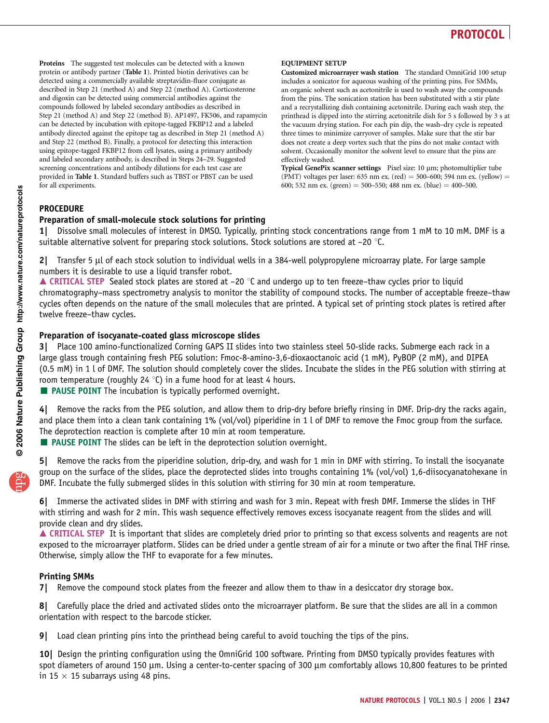Proteins The suggested test molecules can be detected with a known protein or antibody partner (Table 1). Printed biotin derivatives can be detected using a commercially available streptavidin-fluor conjugate as described in Step 21 (method A) and Step 22 (method A). Corticosterone and digoxin can be detected using commercial antibodies against the compounds followed by labeled secondary antibodies as described in Step 21 (method A) and Step 22 (method B). AP1497, FK506, and rapamycin can be detected by incubation with epitope-tagged FKBP12 and a labeled antibody directed against the epitope tag as described in Step 21 (method A) and Step 22 (method B). Finally, a protocol for detecting this interaction using epitope-tagged FKBP12 from cell lysates, using a primary antibody and labeled secondary antibody, is described in Steps 24–29. Suggested screening concentrations and antibody dilutions for each test case are provided in Table 1. Standard buffers such as TBST or PBST can be used for all experiments.

#### EQUIPMENT SETUP

Customized microarrayer wash station The standard OmniGrid 100 setup includes a sonicator for aqueous washing of the printing pins. For SMMs, an organic solvent such as acetonitrile is used to wash away the compounds from the pins. The sonication station has been substituted with a stir plate and a recrystallizing dish containing acetonitrile. During each wash step, the printhead is dipped into the stirring acetonitrile dish for 5 s followed by 3 s at the vacuum drying station. For each pin dip, the wash–dry cycle is repeated three times to minimize carryover of samples. Make sure that the stir bar does not create a deep vortex such that the pins do not make contact with solvent. Occasionally monitor the solvent level to ensure that the pins are effectively washed.

Typical GenePix scanner settings Pixel size: 10 µm; photomultiplier tube (PMT) voltages per laser: 635 nm ex. (red) = 500–600; 594 nm ex. (yellow) = 600; 532 nm ex. (green) = 500–550; 488 nm ex. (blue) = 400–500.

#### PROCEDURE

#### Preparation of small-molecule stock solutions for printing

1| Dissolve small molecules of interest in DMSO. Typically, printing stock concentrations range from 1 mM to 10 mM. DMF is a suitable alternative solvent for preparing stock solutions. Stock solutions are stored at  $-20$  °C.

Transfer 5  $\mu$ l of each stock solution to individual wells in a 384-well polypropylene microarray plate. For large sample numbers it is desirable to use a liquid transfer robot.

 $\triangle$  CRITICAL STEP Sealed stock plates are stored at –20 °C and undergo up to ten freeze–thaw cycles prior to liquid chromatography–mass spectrometry analysis to monitor the stability of compound stocks. The number of acceptable freeze–thaw cycles often depends on the nature of the small molecules that are printed. A typical set of printing stock plates is retired after twelve freeze–thaw cycles.

#### Preparation of isocyanate-coated glass microscope slides

3| Place 100 amino-functionalized Corning GAPS II slides into two stainless steel 50-slide racks. Submerge each rack in a large glass trough containing fresh PEG solution: Fmoc-8-amino-3,6-dioxaoctanoic acid (1 mM), PyBOP (2 mM), and DIPEA (0.5 mM) in 1 l of DMF. The solution should completely cover the slides. Incubate the slides in the PEG solution with stirring at room temperature (roughly 24 $\degree$ C) in a fume hood for at least 4 hours.

**E** PAUSE POINT The incubation is typically performed overnight.

Remove the racks from the PEG solution, and allow them to drip-dry before briefly rinsing in DMF. Drip-dry the racks again, and place them into a clean tank containing 1% (vol/vol) piperidine in 1 l of DMF to remove the Fmoc group from the surface. The deprotection reaction is complete after 10 min at room temperature.

 $\blacksquare$  PAUSE POINT The slides can be left in the deprotection solution overnight.

Remove the racks from the piperidine solution, drip-dry, and wash for 1 min in DMF with stirring. To install the isocyanate group on the surface of the slides, place the deprotected slides into troughs containing 1% (vol/vol) 1,6-diisocyanatohexane in DMF. Incubate the fully submerged slides in this solution with stirring for 30 min at room temperature.

6| Immerse the activated slides in DMF with stirring and wash for 3 min. Repeat with fresh DMF. Immerse the slides in THF with stirring and wash for 2 min. This wash sequence effectively removes excess isocyanate reagent from the slides and will provide clean and dry slides.

▲ CRITICAL STEP It is important that slides are completely dried prior to printing so that excess solvents and reagents are not exposed to the microarrayer platform. Slides can be dried under a gentle stream of air for a minute or two after the final THF rinse. Otherwise, simply allow the THF to evaporate for a few minutes.

#### Printing SMMs

7| Remove the compound stock plates from the freezer and allow them to thaw in a desiccator dry storage box.

8| Carefully place the dried and activated slides onto the microarrayer platform. Be sure that the slides are all in a common orientation with respect to the barcode sticker.

9| Load clean printing pins into the printhead being careful to avoid touching the tips of the pins.

10| Design the printing configuration using the OmniGrid 100 software. Printing from DMSO typically provides features with spot diameters of around 150 µm. Using a center-to-center spacing of 300 µm comfortably allows 10,800 features to be printed in 15  $\times$  15 subarrays using 48 pins.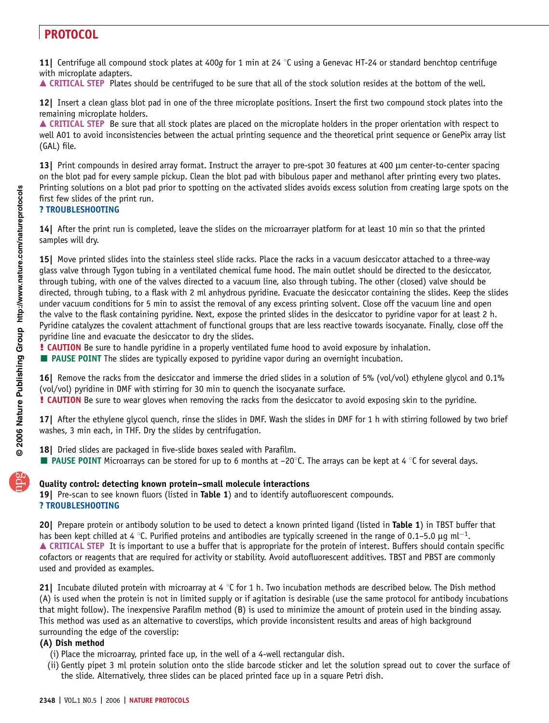11| Centrifuge all compound stock plates at 400g for 1 min at 24  $\degree$ C using a Genevac HT-24 or standard benchtop centrifuge with microplate adapters.

▲ CRITICAL STEP Plates should be centrifuged to be sure that all of the stock solution resides at the bottom of the well.

12| Insert a clean glass blot pad in one of the three microplate positions. Insert the first two compound stock plates into the remaining microplate holders.

■ CRITICAL STEP Be sure that all stock plates are placed on the microplate holders in the proper orientation with respect to well A01 to avoid inconsistencies between the actual printing sequence and the theoretical print sequence or GenePix array list (GAL) file.

13| Print compounds in desired array format. Instruct the arrayer to pre-spot 30 features at 400 µm center-to-center spacing on the blot pad for every sample pickup. Clean the blot pad with bibulous paper and methanol after printing every two plates. Printing solutions on a blot pad prior to spotting on the activated slides avoids excess solution from creating large spots on the first few slides of the print run.

### ? TROUBLESHOOTING

14| After the print run is completed, leave the slides on the microarrayer platform for at least 10 min so that the printed samples will dry.

15| Move printed slides into the stainless steel slide racks. Place the racks in a vacuum desiccator attached to a three-way glass valve through Tygon tubing in a ventilated chemical fume hood. The main outlet should be directed to the desiccator, through tubing, with one of the valves directed to a vacuum line, also through tubing. The other (closed) valve should be directed, through tubing, to a flask with 2 ml anhydrous pyridine. Evacuate the desiccator containing the slides. Keep the slides under vacuum conditions for 5 min to assist the removal of any excess printing solvent. Close off the vacuum line and open the valve to the flask containing pyridine. Next, expose the printed slides in the desiccator to pyridine vapor for at least 2 h. Pyridine catalyzes the covalent attachment of functional groups that are less reactive towards isocyanate. Finally, close off the pyridine line and evacuate the desiccator to dry the slides.

**! CAUTION** Be sure to handle pyridine in a properly ventilated fume hood to avoid exposure by inhalation.

**PAUSE POINT** The slides are typically exposed to pyridine vapor during an overnight incubation.

16| Remove the racks from the desiccator and immerse the dried slides in a solution of 5% (vol/vol) ethylene qlycol and 0.1% (vol/vol) pyridine in DMF with stirring for 30 min to quench the isocyanate surface.

**EXECUTION** Be sure to wear gloves when removing the racks from the desiccator to avoid exposing skin to the pyridine.

17| After the ethylene glycol quench, rinse the slides in DMF. Wash the slides in DMF for 1 h with stirring followed by two brief washes, 3 min each, in THF. Dry the slides by centrifugation.

18| Dried slides are packaged in five-slide boxes sealed with Parafilm.

**PAUSE POINT** Microarrays can be stored for up to 6 months at  $-20^{\circ}$ C. The arrays can be kept at 4  $^{\circ}$ C for several days.

### Quality control: detecting known protein–small molecule interactions

19| Pre-scan to see known fluors (listed in Table 1) and to identify autofluorescent compounds. ? TROUBLESHOOTING

20| Prepare protein or antibody solution to be used to detect a known printed ligand (listed in Table 1) in TBST buffer that has been kept chilled at 4 °C. Purified proteins and antibodies are typically screened in the range of 0.1–5.0  $\mu$ g ml<sup>-1</sup>. ▲ CRITICAL STEP It is important to use a buffer that is appropriate for the protein of interest. Buffers should contain specific cofactors or reagents that are required for activity or stability. Avoid autofluorescent additives. TBST and PBST are commonly used and provided as examples.

21| Incubate diluted protein with microarray at 4  $\degree$ C for 1 h. Two incubation methods are described below. The Dish method (A) is used when the protein is not in limited supply or if agitation is desirable (use the same protocol for antibody incubations that might follow). The inexpensive Parafilm method (B) is used to minimize the amount of protein used in the binding assay. This method was used as an alternative to coverslips, which provide inconsistent results and areas of high background surrounding the edge of the coverslip:

### (A) Dish method

- (i) Place the microarray, printed face up, in the well of a 4-well rectangular dish.
- (ii) Gently pipet 3 ml protein solution onto the slide barcode sticker and let the solution spread out to cover the surface of the slide. Alternatively, three slides can be placed printed face up in a square Petri dish.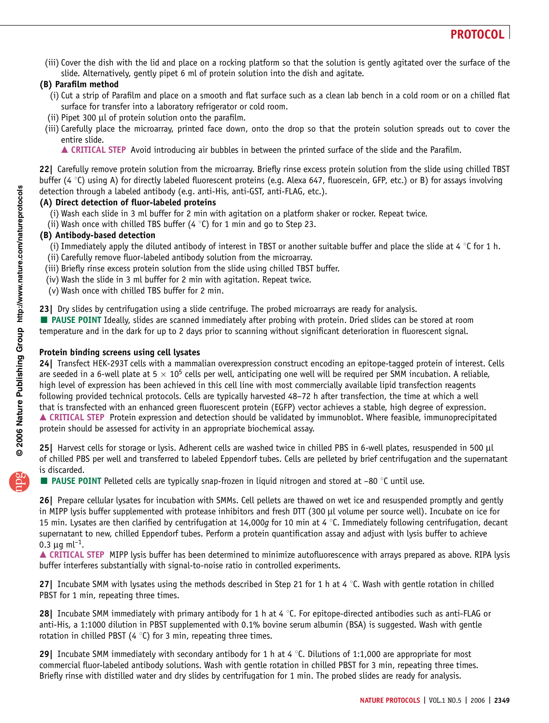(iii) Cover the dish with the lid and place on a rocking platform so that the solution is gently agitated over the surface of the slide. Alternatively, gently pipet 6 ml of protein solution into the dish and agitate.

### (B) Parafilm method

- (i) Cut a strip of Parafilm and place on a smooth and flat surface such as a clean lab bench in a cold room or on a chilled flat surface for transfer into a laboratory refrigerator or cold room.
- (ii) Pipet 300 µl of protein solution onto the parafilm.
- (iii) Carefully place the microarray, printed face down, onto the drop so that the protein solution spreads out to cover the entire slide.

■ CRITICAL STEP Avoid introducing air bubbles in between the printed surface of the slide and the Parafilm.

22| Carefully remove protein solution from the microarray. Briefly rinse excess protein solution from the slide using chilled TBST buffer (4 °C) using A) for directly labeled fluorescent proteins (e.g. Alexa 647, fluorescein, GFP, etc.) or B) for assays involving detection through a labeled antibody (e.g. anti-His, anti-GST, anti-FLAG, etc.).

### (A) Direct detection of fluor-labeled proteins

- (i) Wash each slide in 3 ml buffer for 2 min with agitation on a platform shaker or rocker. Repeat twice.
- (ii) Wash once with chilled TBS buffer (4  $\degree$ C) for 1 min and go to Step 23.

### (B) Antibody-based detection

- (i) Immediately apply the diluted antibody of interest in TBST or another suitable buffer and place the slide at 4  $\degree$ C for 1 h.
- (ii) Carefully remove fluor-labeled antibody solution from the microarray.
- (iii) Briefly rinse excess protein solution from the slide using chilled TBST buffer.
- (iv) Wash the slide in 3 ml buffer for 2 min with agitation. Repeat twice.
- (v) Wash once with chilled TBS buffer for 2 min.
- 23 Dry slides by centrifugation using a slide centrifuge. The probed microarrays are ready for analysis.

**PAUSE POINT Ideally, slides are scanned immediately after probing with protein. Dried slides can be stored at room** temperature and in the dark for up to 2 days prior to scanning without significant deterioration in fluorescent signal.

### Protein binding screens using cell lysates

24| Transfect HEK-293T cells with a mammalian overexpression construct encoding an epitope-tagged protein of interest. Cells are seeded in a 6-well plate at  $5 \times 10^5$  cells per well, anticipating one well will be required per SMM incubation. A reliable, high level of expression has been achieved in this cell line with most commercially available lipid transfection reagents following provided technical protocols. Cells are typically harvested 48–72 h after transfection, the time at which a well that is transfected with an enhanced green fluorescent protein (EGFP) vector achieves a stable, high degree of expression. ▲ CRITICAL STEP Protein expression and detection should be validated by immunoblot. Where feasible, immunoprecipitated protein should be assessed for activity in an appropriate biochemical assay.

25| Harvest cells for storage or lysis. Adherent cells are washed twice in chilled PBS in 6-well plates, resuspended in 500 µl of chilled PBS per well and transferred to labeled Eppendorf tubes. Cells are pelleted by brief centrifugation and the supernatant is discarded.

**E** PAUSE POINT Pelleted cells are typically snap-frozen in liquid nitrogen and stored at  $-80$  °C until use.

26| Prepare cellular lysates for incubation with SMMs. Cell pellets are thawed on wet ice and resuspended promptly and gently in MIPP lysis buffer supplemented with protease inhibitors and fresh DTT (300 µl volume per source well). Incubate on ice for 15 min. Lysates are then clarified by centrifugation at 14,000g for 10 min at 4  $\degree$ C. Immediately following centrifugation, decant supernatant to new, chilled Eppendorf tubes. Perform a protein quantification assay and adjust with lysis buffer to achieve 0.3  $\mu$ g m $l^{-1}$ .

 $\triangle$  CRITICAL STEP MIPP lysis buffer has been determined to minimize autofluorescence with arrays prepared as above. RIPA lysis buffer interferes substantially with signal-to-noise ratio in controlled experiments.

27] Incubate SMM with lysates using the methods described in Step 21 for 1 h at 4 °C. Wash with gentle rotation in chilled PBST for 1 min, repeating three times.

**28** Incubate SMM immediately with primary antibody for 1 h at 4  $\degree$ C. For epitope-directed antibodies such as anti-FLAG or anti-His, a 1:1000 dilution in PBST supplemented with 0.1% bovine serum albumin (BSA) is suggested. Wash with gentle rotation in chilled PBST (4 $\degree$ C) for 3 min, repeating three times.

29 Incubate SMM immediately with secondary antibody for 1 h at 4  $\degree$ C. Dilutions of 1:1,000 are appropriate for most commercial fluor-labeled antibody solutions. Wash with gentle rotation in chilled PBST for 3 min, repeating three times. Briefly rinse with distilled water and dry slides by centrifugation for 1 min. The probed slides are ready for analysis.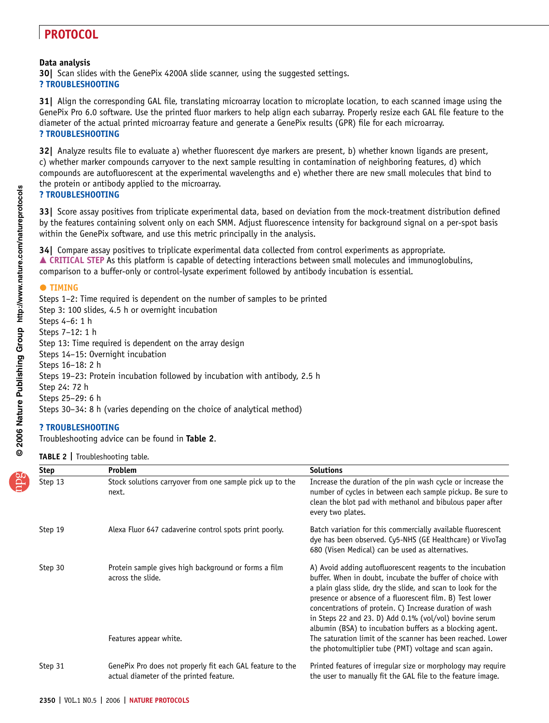#### Data analysis

30| Scan slides with the GenePix 4200A slide scanner, using the suggested settings. ? TROUBLESHOOTING

31| Align the corresponding GAL file, translating microarray location to microplate location, to each scanned image using the GenePix Pro 6.0 software. Use the printed fluor markers to help align each subarray. Properly resize each GAL file feature to the diameter of the actual printed microarray feature and generate a GenePix results (GPR) file for each microarray. ? TROUBLESHOOTING

32| Analyze results file to evaluate a) whether fluorescent dye markers are present, b) whether known ligands are present, c) whether marker compounds carryover to the next sample resulting in contamination of neighboring features, d) which compounds are autofluorescent at the experimental wavelengths and e) whether there are new small molecules that bind to the protein or antibody applied to the microarray.

#### ? TROUBLESHOOTING

33| Score assay positives from triplicate experimental data, based on deviation from the mock-treatment distribution defined by the features containing solvent only on each SMM. Adjust fluorescence intensity for background signal on a per-spot basis within the GenePix software, and use this metric principally in the analysis.

34| Compare assay positives to triplicate experimental data collected from control experiments as appropriate.  $\triangle$  CRITICAL STEP As this platform is capable of detecting interactions between small molecules and immunoglobulins, comparison to a buffer-only or control-lysate experiment followed by antibody incubation is essential.

#### **• TIMING**

Steps 1–2: Time required is dependent on the number of samples to be printed Step 3: 100 slides, 4.5 h or overnight incubation Steps 4–6: 1 h Steps 7–12: 1 h Step 13: Time required is dependent on the array design Steps 14–15: Overnight incubation Steps 16–18: 2 h Steps 19–23: Protein incubation followed by incubation with antibody, 2.5 h Step 24: 72 h Steps 25–29: 6 h Steps 30–34: 8 h (varies depending on the choice of analytical method)

#### ? TROUBLESHOOTING

Troubleshooting advice can be found in Table 2.

TABLE 2 | Troubleshooting table.

| Step    | Problem                                                                                              | <b>Solutions</b>                                                                                                                                                                                                                                                                                                                                                                                                                                                                                    |
|---------|------------------------------------------------------------------------------------------------------|-----------------------------------------------------------------------------------------------------------------------------------------------------------------------------------------------------------------------------------------------------------------------------------------------------------------------------------------------------------------------------------------------------------------------------------------------------------------------------------------------------|
| Step 13 | Stock solutions carryover from one sample pick up to the<br>next.                                    | Increase the duration of the pin wash cycle or increase the<br>number of cycles in between each sample pickup. Be sure to<br>clean the blot pad with methanol and bibulous paper after<br>every two plates.                                                                                                                                                                                                                                                                                         |
| Step 19 | Alexa Fluor 647 cadaverine control spots print poorly.                                               | Batch variation for this commercially available fluorescent<br>dye has been observed. Cy5-NHS (GE Healthcare) or VivoTag<br>680 (Visen Medical) can be used as alternatives.                                                                                                                                                                                                                                                                                                                        |
| Step 30 | Protein sample gives high background or forms a film<br>across the slide.<br>Features appear white.  | A) Avoid adding autofluorescent reagents to the incubation<br>buffer. When in doubt, incubate the buffer of choice with<br>a plain glass slide, dry the slide, and scan to look for the<br>presence or absence of a fluorescent film. B) Test lower<br>concentrations of protein. C) Increase duration of wash<br>in Steps 22 and 23. D) Add 0.1% (vol/vol) bovine serum<br>albumin (BSA) to incubation buffers as a blocking agent.<br>The saturation limit of the scanner has been reached. Lower |
|         |                                                                                                      | the photomultiplier tube (PMT) voltage and scan again.                                                                                                                                                                                                                                                                                                                                                                                                                                              |
| Step 31 | GenePix Pro does not properly fit each GAL feature to the<br>actual diameter of the printed feature. | Printed features of irregular size or morphology may require<br>the user to manually fit the GAL file to the feature image.                                                                                                                                                                                                                                                                                                                                                                         |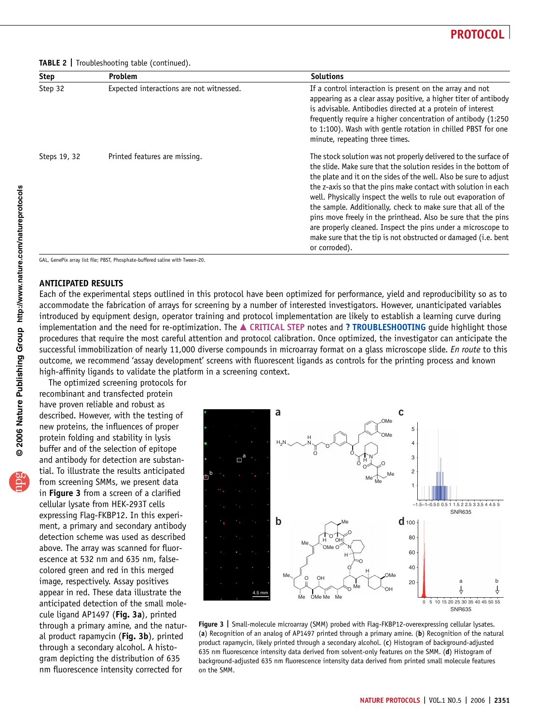TABLE 2 | Troubleshooting table (continued).

| <b>Step</b>  | Problem                                  | <b>Solutions</b>                                                                                                                                                                                                                                                                                                                                                                                                                                                                                                                                                                                                               |
|--------------|------------------------------------------|--------------------------------------------------------------------------------------------------------------------------------------------------------------------------------------------------------------------------------------------------------------------------------------------------------------------------------------------------------------------------------------------------------------------------------------------------------------------------------------------------------------------------------------------------------------------------------------------------------------------------------|
| Step 32      | Expected interactions are not witnessed. | If a control interaction is present on the array and not<br>appearing as a clear assay positive, a higher titer of antibody<br>is advisable. Antibodies directed at a protein of interest<br>frequently require a higher concentration of antibody (1:250<br>to 1:100). Wash with gentle rotation in chilled PBST for one<br>minute, repeating three times.                                                                                                                                                                                                                                                                    |
| Steps 19, 32 | Printed features are missing.            | The stock solution was not properly delivered to the surface of<br>the slide. Make sure that the solution resides in the bottom of<br>the plate and it on the sides of the well. Also be sure to adjust<br>the z-axis so that the pins make contact with solution in each<br>well. Physically inspect the wells to rule out evaporation of<br>the sample. Additionally, check to make sure that all of the<br>pins move freely in the printhead. Also be sure that the pins<br>are properly cleaned. Inspect the pins under a microscope to<br>make sure that the tip is not obstructed or damaged (i.e. bent<br>or corroded). |

GAL, GenePix array list file; PBST, Phosphate-buffered saline with Tween-20.

#### ANTICIPATED RESULTS

Each of the experimental steps outlined in this protocol have been optimized for performance, yield and reproducibility so as to accommodate the fabrication of arrays for screening by a number of interested investigators. However, unanticipated variables introduced by equipment design, operator training and protocol implementation are likely to establish a learning curve during implementation and the need for re-optimization. The  $\blacktriangle$  CRITICAL STEP notes and ? TROUBLESHOOTING guide highlight those procedures that require the most careful attention and protocol calibration. Once optimized, the investigator can anticipate the successful immobilization of nearly 11,000 diverse compounds in microarray format on a glass microscope slide. En route to this outcome, we recommend 'assay development' screens with fluorescent ligands as controls for the printing process and known high-affinity ligands to validate the platform in a screening context.

The optimized screening protocols for recombinant and transfected protein have proven reliable and robust as described. However, with the testing of new proteins, the influences of proper protein folding and stability in lysis buffer and of the selection of epitope and antibody for detection are substantial. To illustrate the results anticipated from screening SMMs, we present data in Figure 3 from a screen of a clarified cellular lysate from HEK-293T cells expressing Flag-FKBP12. In this experiment, a primary and secondary antibody detection scheme was used as described above. The array was scanned for fluorescence at 532 nm and 635 nm, falsecolored green and red in this merged image, respectively. Assay positives appear in red. These data illustrate the anticipated detection of the small molecule ligand AP1497 (Fig. 3a), printed through a primary amine, and the natural product rapamycin (Fig. 3b), printed through a secondary alcohol. A histogram depicting the distribution of 635 nm fluorescence intensity corrected for



Figure 3 | Small-molecule microarray (SMM) probed with Flag-FKBP12-overexpressing cellular lysates. (a) Recognition of an analog of AP1497 printed through a primary amine. (b) Recognition of the natural product rapamycin, likely printed through a secondary alcohol. (c) Histogram of background-adjusted 635 nm fluorescence intensity data derived from solvent-only features on the SMM. (d) Histogram of background-adjusted 635 nm fluorescence intensity data derived from printed small molecule features on the SMM.